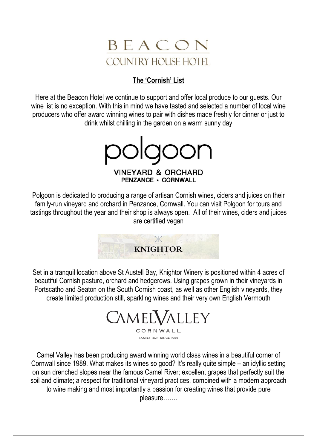

## **The 'Cornish' List**

Here at the Beacon Hotel we continue to support and offer local produce to our guests. Our wine list is no exception. With this in mind we have tasted and selected a number of local wine producers who offer award winning wines to pair with dishes made freshly for dinner or just to drink whilst chilling in the garden on a warm sunny day

polgoon **VINEYARD & ORCHARD PENZANCE · CORNWALL** 

Polgoon is dedicated to producing a range of artisan Cornish wines, ciders and juices on their family-run vineyard and orchard in Penzance, Cornwall. You can visit Polgoon for tours and tastings throughout the year and their shop is always open. All of their wines, ciders and juices are certified vegan



Set in a tranquil location above St Austell Bay, Knightor Winery is positioned within 4 acres of beautiful Cornish pasture, orchard and hedgerows. Using grapes grown in their vineyards in Portscatho and Seaton on the South Cornish coast, as well as other English vineyards, they create limited production still, sparkling wines and their very own English Vermouth

CAMELVALLEY CORNWALL

FAMILY RUN SINCE 1989

Camel Valley has been producing award winning world class wines in a beautiful corner of Cornwall since 1989. What makes its wines so good? It's really quite simple – an idyllic setting on sun drenched slopes near the famous Camel River; excellent grapes that perfectly suit the soil and climate; a respect for traditional vineyard practices, combined with a modern approach to wine making and most importantly a passion for creating wines that provide pure pleasure…….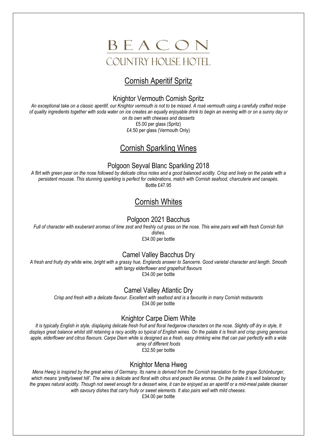

# Cornish Aperitif Spritz

#### Knightor Vermouth Cornish Spritz

*An exceptional take on a classic aperitif, our Knightor vermouth is not to be missed. A rosé vermouth using a carefully crafted recipe of quality ingredients together with soda water on ice creates an equally enjoyable drink to begin an evening with or on a sunny day or on its own with cheeses and desserts*

£5.00 per glass (Spritz) £4.50 per glass (Vermouth Only)

# Cornish Sparkling Wines

### Polgoon Seyval Blanc Sparkling 2018

*A flirt with green pear on the nose followed by delicate citrus notes and a good balanced acidity. Crisp and lively on the palate with a persistent mousse. This stunning sparkling is perfect for celebrations, match with Cornish seafood, charcuterie and canapés.* Bottle £47.95

# Cornish Whites

### Polgoon 2021 Bacchus

*Full of character with exuberant aromas of lime zest and freshly cut grass on the nose. This wine pairs well with fresh Cornish fish dishes.*

£34.00 per bottle

## Camel Valley Bacchus Dry

*A fresh and fruity dry white wine, bright with a grassy hue, Englands answer to Sancerre. Good varietal character and length. Smooth with tangy elderflower and grapefruit flavours* £34.00 per bottle

#### Camel Valley Atlantic Dry

*Crisp and fresh with a delicate flavour. Excellent with seafood and is a favourite in many Cornish restaurants* £34.00 per bottle

## Knightor Carpe Diem White

*It is typically English in style, displaying delicate fresh fruit and floral hedgerow characters on the nose. Slightly off dry in style, It displays great balance whilst still retaining a racy acidity so typical of English wines. On the palate it is fresh and crisp giving generous*  apple, elderflower and citrus flavours. Carpe Diem white is designed as a fresh, easy drinking wine that can pair perfectly with a wide *array of different foods*

£32.50 per bottle

#### Knightor Mena Hweg

*Mena Hweg is inspired by the great wines of Germany. Its name is derived from the Cornish translation for the grape Schönburger,*  which means 'pretty/sweet hill'. The wine is delicate and floral with citrus and peach like aromas. On the palate it is well balanced by *the grapes natural acidity. Though not sweet enough for a dessert wine, it can be enjoyed as an aperitif or a mid-meal palate cleanser with savoury dishes that carry fruity or sweet elements. It also pairs well with mild cheeses.*

£34.00 per bottle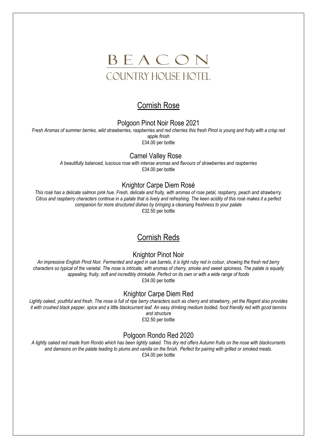

## Cornish Rose

#### Polgoon Pinot Noir Rose 2021

*Fresh Aromas of summer berries, wild strawberries, raspberries and red cherries this fresh Pinot is young and fruity with a crisp red apple finish* £34.00 per bottle

### Camel Valley Rose

*A beautifully balanced, luscious rose with intense aromas and flavours of strawberries and raspberries* £34.00 per bottle

#### Knightor Carpe Diem Rosé

*This rosé has a delicate salmon pink hue. Fresh, delicate and fruity, with aromas of rose petal, raspberry, peach and strawberry. Citrus and raspberry characters continue in a palate that is lively and refreshing. The keen acidity of this rosé makes it a perfect companion for more structured dishes by bringing a cleansing freshness to your palate* £32.50 per bottle

## Cornish Reds

#### Knightor Pinot Noir

*An impressive English Pinot Noir. Fermented and aged in oak barrels, it is light ruby red in colour, showing the fresh red berry*  characters so typical of the varietal. The nose is intricate, with aromas of cherry, smoke and sweet spiciness. The palate is equally *appealing, fruity, soft and incredibly drinkable. Perfect on its own or with a wide range of foods* £34.00 per bottle

#### Knightor Carpe Diem Red

*Lightly oaked, youthful and fresh. The nose is full of ripe berry characters such as cherry and strawberry, yet the Regent also provides it with crushed black pepper, spice and a little blackcurrant leaf. An easy drinking medium bodied, food friendly red with good tannins and structure*

£32.50 per bottle

#### Polgoon Rondo Red 2020

*A lightly oaked red made from Rondo which has been lightly oaked. This dry red offers Autumn fruits on the nose with blackcurrants and damsons on the palate leading to plums and vanilla on the finish. Perfect for pairing with grilled or smoked meats.* £34.00 per bottle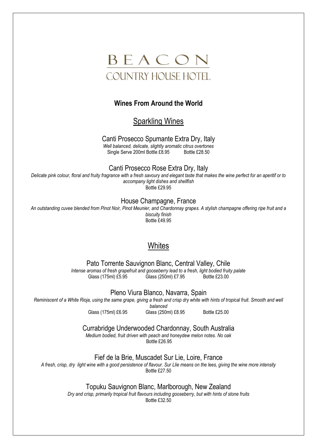

#### **Wines From Around the World**

Sparkling Wines

Canti Prosecco Spumante Extra Dry, Italy

*Well balanced, delicate, slightly aromatic citrus overtones* Single Serve 200ml Bottle £8.95

Canti Prosecco Rose Extra Dry, Italy

*Delicate pink colour, floral and fruity fragrance with a fresh savoury and elegant taste that makes the wine perfect for an aperitif or to accompany light dishes and shellfish* Bottle £29.95

House Champagne, France

*An outstanding cuvee blended from Pinot Noir, Pinot Meunier, and Chardonnay grapes. A stylish champagne offering ripe fruit and a biscuity finish* Bottle £49.95

## **Whites**

Pato Torrente Sauvignon Blanc, Central Valley, Chile

*Intense aromas of fresh grapefruit and gooseberry lead to a fresh, light bodied fruity palate*  $Glass (250ml)$  £7.95

Pleno Viura Blanco, Navarra, Spain

*Reminiscent of a White Rioja, using the same grape, giving a fresh and crisp dry white with hints of tropical fruit. Smooth and well* 

*balanced* Glass (175ml) £6.95 Glass (250ml) £8.95 Bottle £25.00

Currabridge Underwooded Chardonnay, South Australia

*Medium bodied, fruit driven with peach and honeydew melon notes. No oak* Bottle £26.95

Fief de la Brie, Muscadet Sur Lie, Loire, France

*A fresh, crisp, dry light wine with a good persistence of flavour. Sur Llie means on the lees, giving the wine more intensity* Bottle £27.50

Topuku Sauvignon Blanc, Marlborough, New Zealand

*Dry and crisp, primarily tropical fruit flavours including gooseberry, but with hints of stone fruits* Bottle £32.50